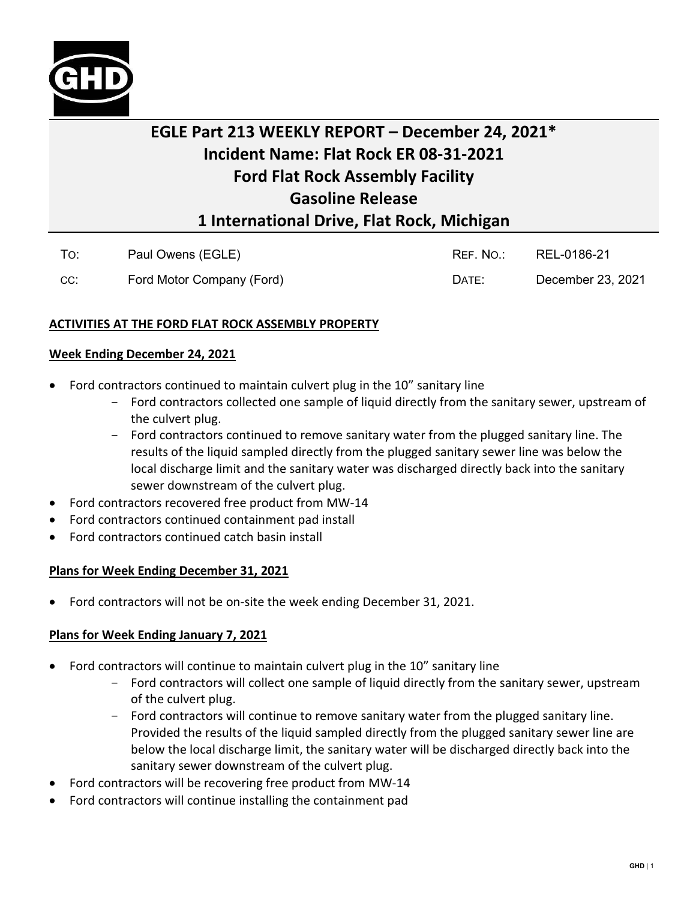

# EGLE Part 213 WEEKLY REPORT — December 24, 2021\* **EGLE Part 213 WEEKLY REPORT – December 24, 2021\*** Incident Name: Flat Rock ER 08-31-2021 **Incident Name: Flat Rock ER 08-31-2021** Ford Flat Rock Assembly Facility **Ford Flat Rock Assembly Facility** Gasoline Release **Gasoline Release** 1 International Drive, Flat Rock, Michigan **1 International Drive, Flat Rock, Michigan**

| To: | Paul Owens (EGLE)         | REF. NO.: | REL-0186-21       |
|-----|---------------------------|-----------|-------------------|
| CC: | Ford Motor Company (Ford) | DATE:     | December 23, 2021 |

## ACTIVITIES AT THE FORD FLAT ROCK ASSEMBLY PROPERTY **ACTIVITIES AT THE FORD FLAT ROCK ASSEMBLY PROPERTY**

#### Week Ending December 24, 2021 **Week Ending December 24, 2021**

- Ford contractors continued to maintain culvert plug in the 10" sanitary line Ford contractors continued to maintain culvert plug in the 10" sanitary line
	- Ford contractors collected one sample of liquid directly from the sanitary sewer, upstream of Ford contractors collected one sample of liquid directly from the sanitary sewer, upstream of the culvert plug. the culvert plug.
	- Ford contractors continued to remove sanitary water from the plugged sanitary line. The results of the liquid sampled directly from the plugged sanitary sewer line was below the results of the liquid sampled directly from the plugged sanitary sewer line was below the local discharge limit and the sanitary water was discharged directly back into the sanitary local discharge limit and the sanitary water was discharged directly back into the sanitary sewer downstream of the culvert plug. sewer downstream of the culvert plug.
- Ford contractors recovered free product from MW-14 Ford contractors recovered free product from MW-14
- Ford contractors continued containment pad install Ford contractors continued containment pad install
- Ford contractors continued catch basin install Ford contractors continued catch basin install

#### Plans for Week Ending December 31, 2021 **Plans for Week Ending December 31, 2021**

• Ford contractors will not be on-site the week ending December 31, 2021. • Ford contractors will not be on-site the week ending December 31, 2021.

### Plans for Week Ending January 7, 2021 **Plans for Week Ending January 7, 2021**

- Ford contractors will continue to maintain culvert plug in the 10" sanitary line Ford contractors will continue to maintain culvert plug in the 10" sanitary line
	- Ford contractors will collect one sample of liquid directly from the sanitary sewer, upstream Ford contractors will collect one sample of liquid directly from the sanitary sewer, upstream of the culvert plug. of the culvert plug.
	- Ford contractors will continue to remove sanitary water from the plugged sanitary line. Ford contractors will continue to remove sanitary water from the plugged sanitary line. Provided the results of the liquid sampled directly from the plugged sanitary sewer line are Provided the results of the liquid sampled directly from the plugged sanitary sewer line are below the local discharge limit, the sanitary water will be discharged directly back into the below the local discharge limit, the sanitary water will be discharged directly back into the sanitary sewer downstream of the culvert plug. sanitary sewer downstream of the culvert plug.
- Ford contractors will be recovering free product from MW-14 Ford contractors will be recovering free product from MW-14
- Ford contractors will continue installing the containment pad Ford contractors will continue installing the containment pad